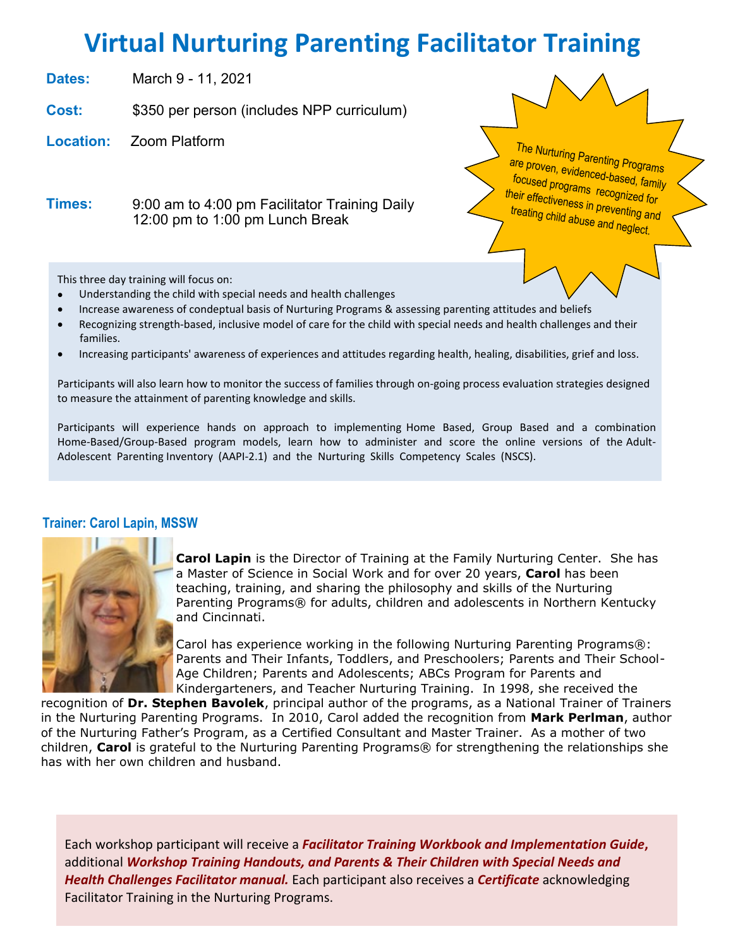# **Virtual Nurturing Parenting Facilitator Training**

**Dates:** June 2 - 3, 2022

**Cost:** \$375 per person (includes curriculum valued at \$50)

**Location:** Zoom Platform

The Nurturing Parenting Programs are proven, evidenced-based, family focused programs recognized for their effectiveness in preventing and treating child abuse and neglect.

**Times:** 9:00 am to 4:00 pm Facilitator Training Daily 12:00 pm to 1:00 pm Lunch Break Training Hours are on Central Time Zone

This three day training will focus on:

- Understanding the child with special needs and health challenges
- Increase awareness of condeptual basis of Nurturing Programs & assessing parenting attitudes and beliefs
- Recognizing strength-based, inclusive model of care for the child with special needs and health challenges and their families.
- Increasing participants' awareness of experiences and attitudes regarding health, healing, disabilities, grief and loss.

Participants will also learn how to monitor the success of families through on-going process evaluation strategies designed to measure the attainment of parenting knowledge and skills.

Participants will experience hands on approach to implementing Home Based, Group Based and a combination Home-Based/Group-Based program models, learn how to administer and score the online versions of the Adult-Adolescent Parenting Inventory (AAPI-2.1) and the Nurturing Skills Competency Scales (NSCS).

### **Trainer: Carol Lapin, MSSW**



**Carol Lapin** is the Director of Training at the Family Nurturing Center. She has a Master of Science in Social Work and for over 20 years, **Carol** has been teaching, training, and sharing the philosophy and skills of the Nurturing Parenting Programs® for adults, children and adolescents in Northern Kentucky and Cincinnati.

Carol has experience working in the following Nurturing Parenting Programs®: Parents and Their Infants, Toddlers, and Preschoolers; Parents and Their School-Age Children; Parents and Adolescents; ABCs Program for Parents and Kindergarteners, and Teacher Nurturing Training. In 1998, she received the

recognition of **Dr. Stephen Bavolek**, principal author of the programs, as a National Trainer of Trainers in the Nurturing Parenting Programs. In 2010, Carol added the recognition from **Mark Perlman**, author of the Nurturing Father's Program, as a Certified Consultant and Master Trainer. As a mother of two children, **Carol** is grateful to the Nurturing Parenting Programs® for strengthening the relationships she has with her own children and husband.

Each workshop participant will receive a *Facilitator Training Workbook and Implementation Guide***,** additional *Workshop Training Handouts, and Parents & Their Children with Special Needs and Health Challenges Facilitator manual.* Each participant also receives a *Certificate* acknowledging Facilitator Training in the Nurturing Programs.